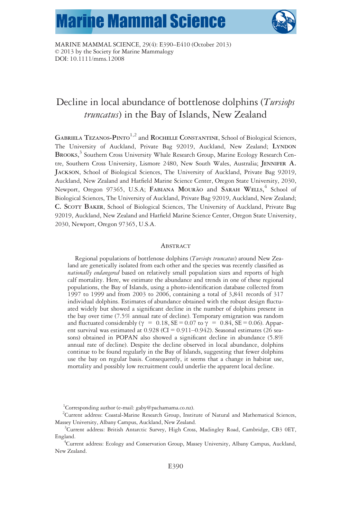# **Marine Mammal Science**



MARINE MAMMAL SCIENCE, 29(4): E390–E410 (October 2013) © 2013 by the Society for Marine Mammalogy DOI: 10.1111/mms.12008

# Decline in local abundance of bottlenose dolphins (Tursiops truncatus) in the Bay of Islands, New Zealand

GABRIELA TEZANOS-PINTO<sup>1,2</sup> and ROCHELLE CONSTANTINE, School of Biological Sciences, The University of Auckland, Private Bag 92019, Auckland, New Zealand; LYNDON BROOKS, <sup>3</sup> Southern Cross University Whale Research Group, Marine Ecology Research Centre, Southern Cross University, Lismore 2480, New South Wales, Australia; JENNIFER A. JACKSON, School of Biological Sciences, The University of Auckland, Private Bag 92019, Auckland, New Zealand and Hatfield Marine Science Center, Oregon State University, 2030, Newport, Oregon 97365, U.S.A; FABIANA MOURÃO and SARAH WELLS, <sup>4</sup> School of Biological Sciences, The University of Auckland, Private Bag 92019, Auckland, New Zealand; C. SCOTT BAKER, School of Biological Sciences, The University of Auckland, Private Bag 92019, Auckland, New Zealand and Hatfield Marine Science Center, Oregon State University, 2030, Newport, Oregon 97365, U.S.A.

# **ABSTRACT**

Regional populations of bottlenose dolphins (Tursiops truncatus) around New Zealand are genetically isolated from each other and the species was recently classified as nationally endangered based on relatively small population sizes and reports of high calf mortality. Here, we estimate the abundance and trends in one of these regional populations, the Bay of Islands, using a photo-identification database collected from 1997 to 1999 and from 2003 to 2006, containing a total of 3,841 records of 317 individual dolphins. Estimates of abundance obtained with the robust design fluctuated widely but showed a significant decline in the number of dolphins present in the bay over time (7.5% annual rate of decline). Temporary emigration was random and fluctuated considerably ( $\gamma = 0.18$ , SE = 0.07 to  $\gamma = 0.84$ , SE = 0.06). Apparent survival was estimated at  $0.928$  (CI =  $0.911-0.942$ ). Seasonal estimates (26 seasons) obtained in POPAN also showed a significant decline in abundance (5.8% annual rate of decline). Despite the decline observed in local abundance, dolphins continue to be found regularly in the Bay of Islands, suggesting that fewer dolphins use the bay on regular basis. Consequently, it seems that a change in habitat use, mortality and possibly low recruitment could underlie the apparent local decline.

<sup>1</sup>Corresponding author (e-mail: gaby@pachamama.co.nz).

<sup>2</sup>Current address: Coastal-Marine Research Group, Institute of Natural and Mathematical Sciences, Massey University, Albany Campus, Auckland, New Zealand. <sup>3</sup>

<sup>&</sup>lt;sup>3</sup>Current address: British Antarctic Survey, High Cross, Madingley Road, Cambridge, CB3 0ET, England. <sup>4</sup>

<sup>&</sup>lt;sup>4</sup>Current address: Ecology and Conservation Group, Massey University, Albany Campus, Auckland, New Zealand.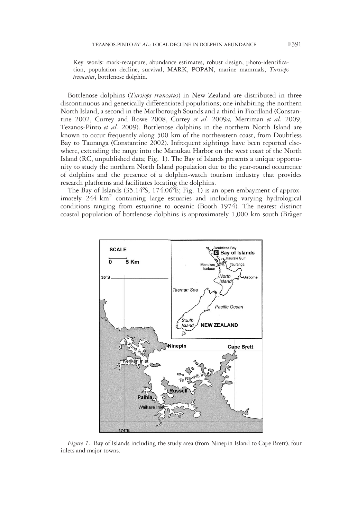Key words: mark-recapture, abundance estimates, robust design, photo-identification, population decline, survival, MARK, POPAN, marine mammals, Tursiops truncatus, bottlenose dolphin.

Bottlenose dolphins (*Tursiops truncatus*) in New Zealand are distributed in three discontinuous and genetically differentiated populations; one inhabiting the northern North Island, a second in the Marlborough Sounds and a third in Fiordland (Constantine 2002, Currey and Rowe 2008, Currey et al. 2009a, Merriman et al. 2009, Tezanos-Pinto et al. 2009). Bottlenose dolphins in the northern North Island are known to occur frequently along 500 km of the northeastern coast, from Doubtless Bay to Tauranga (Constantine 2002). Infrequent sightings have been reported elsewhere, extending the range into the Manukau Harbor on the west coast of the North Island (RC, unpublished data; Fig. 1). The Bay of Islands presents a unique opportunity to study the northern North Island population due to the year-round occurrence of dolphins and the presence of a dolphin-watch tourism industry that provides research platforms and facilitates locating the dolphins.

The Bay of Islands (35.14ºS, 174.06ºE; Fig. 1) is an open embayment of approximately  $244 \text{ km}^2$  containing large estuaries and including varying hydrological conditions ranging from estuarine to oceanic (Booth 1974). The nearest distinct coastal population of bottlenose dolphins is approximately  $1,000 \text{ km}$  south (Bräger



Figure 1. Bay of Islands including the study area (from Ninepin Island to Cape Brett), four inlets and major towns.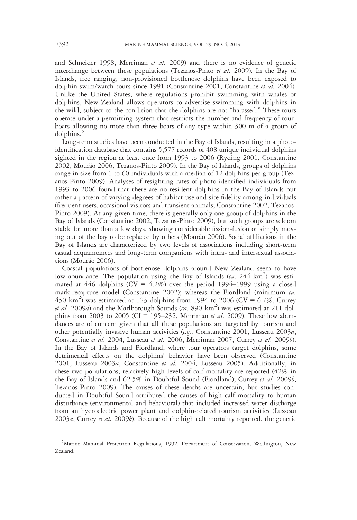and Schneider 1998, Merriman et al. 2009) and there is no evidence of genetic interchange between these populations (Tezanos-Pinto et al. 2009). In the Bay of Islands, free ranging, non-provisioned bottlenose dolphins have been exposed to dolphin-swim/watch tours since 1991 (Constantine 2001, Constantine et al. 2004). Unlike the United States, where regulations prohibit swimming with whales or dolphins, New Zealand allows operators to advertise swimming with dolphins in the wild, subject to the condition that the dolphins are not "harassed." These tours operate under a permitting system that restricts the number and frequency of tourboats allowing no more than three boats of any type within 300 m of a group of dolphins.<sup>3</sup>

Long-term studies have been conducted in the Bay of Islands, resulting in a photoidentification database that contains 5,577 records of 408 unique individual dolphins sighted in the region at least once from 1993 to 2006 (Ryding 2001, Constantine 2002, Mourão 2006, Tezanos-Pinto 2009). In the Bay of Islands, groups of dolphins range in size from 1 to 60 individuals with a median of 12 dolphins per group (Tezanos-Pinto 2009). Analyses of resighting rates of photo-identified individuals from 1993 to 2006 found that there are no resident dolphins in the Bay of Islands but rather a pattern of varying degrees of habitat use and site fidelity among individuals (frequent users, occasional visitors and transient animals; Constantine 2002, Tezanos-Pinto 2009). At any given time, there is generally only one group of dolphins in the Bay of Islands (Constantine 2002, Tezanos-Pinto 2009), but such groups are seldom stable for more than a few days, showing considerable fission-fusion or simply moving out of the bay to be replaced by others (Mourão 2006). Social affiliations in the Bay of Islands are characterized by two levels of associations including short-term casual acquaintances and long-term companions with intra- and intersexual associations (Mourão 2006).

Coastal populations of bottlenose dolphins around New Zealand seem to have low abundance. The population using the Bay of Islands  $(ca. 244 \text{ km}^2)$  was estimated at 446 dolphins ( $CV = 4.2\%$ ) over the period 1994–1999 using a closed mark-recapture model (Constantine 2002); whereas the Fiordland (minimum  $ca$ . 450 km<sup>2</sup>) was estimated at 123 dolphins from 1994 to 2006 (CV = 6.7%, Currey et al. 2009a) and the Marlborough Sounds (ca. 890 km<sup>2</sup>) was estimated at 211 dolphins from 2003 to 2005 (CI = 195–232, Merriman et al. 2009). These low abundances are of concern given that all these populations are targeted by tourism and other potentially invasive human activities (e.g., Constantine 2001, Lusseau 2003a, Constantine et al. 2004, Lusseau et al. 2006, Merriman 2007, Currey et al. 2009b). In the Bay of Islands and Fiordland, where tour operators target dolphins, some detrimental effects on the dolphins' behavior have been observed (Constantine 2001, Lusseau 2003a, Constantine et al. 2004, Lusseau 2005). Additionally, in these two populations, relatively high levels of calf mortality are reported (42% in the Bay of Islands and 62.5% in Doubtful Sound (Fiordland); Currey *et al.* 2009*b*, Tezanos-Pinto 2009). The causes of these deaths are uncertain, but studies conducted in Doubtful Sound attributed the causes of high calf mortality to human disturbance (environmental and behavioral) that included increased water discharge from an hydroelectric power plant and dolphin-related tourism activities (Lusseau  $2003a$ , Currey *et al.* 2009*b*). Because of the high calf mortality reported, the genetic

<sup>&</sup>lt;sup>5</sup>Marine Mammal Protection Regulations, 1992. Department of Conservation, Wellington, New Zealand.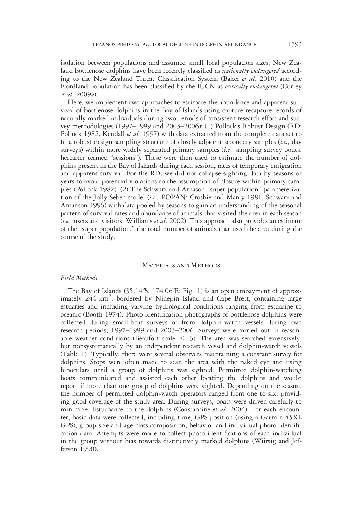isolation between populations and assumed small local population sizes, New Zealand bottlenose dolphins have been recently classified as *nationally endangered* according to the New Zealand Threat Classification System (Baker et al. 2010) and the Fiordland population has been classified by the IUCN as *critically endangered* (Currey et al. 2009a).

Here, we implement two approaches to estimate the abundance and apparent survival of bottlenose dolphins in the Bay of Islands using capture-recapture records of naturally marked individuals during two periods of consistent research effort and survey methodologies (1997–1999 and 2003–2006): (1) Pollock's Robust Design (RD; Pollock 1982, Kendall et al. 1997) with data extracted from the complete data set to fit a robust design sampling structure of closely adjacent secondary samples (i.e., day surveys) within more widely separated primary samples (*i.e.*, sampling survey bouts, hereafter termed "sessions"). These were then used to estimate the number of dolphins present in the Bay of Islands during each session, rates of temporary emigration and apparent survival. For the RD, we did not collapse sighting data by seasons or years to avoid potential violations to the assumption of closure within primary samples (Pollock 1982). (2) The Schwarz and Arnason "super population" parameterization of the Jolly-Seber model (i.e., POPAN; Crosbie and Manly 1981, Schwarz and Arnanson 1996) with data pooled by seasons to gain an understanding of the seasonal pattern of survival rates and abundance of animals that visited the area in each season  $(i.e.,$  users and visitors; Williams *et al.* 2002). This approach also provides an estimate of the "super population," the total number of animals that used the area during the course of the study.

#### Materials and Methods

# Field Methods

The Bay of Islands (35.14ºS, 174.06ºE; Fig. 1) is an open embayment of approximately 244 km<sup>2</sup>, bordered by Ninepin Island and Cape Brett, containing large estuaries and including varying hydrological conditions ranging from estuarine to oceanic (Booth 1974). Photo-identification photographs of bottlenose dolphins were collected during small-boat surveys or from dolphin-watch vessels during two research periods; 1997–1999 and 2003–2006. Surveys were carried out in reasonable weather conditions (Beaufort scale  $\leq$  3). The area was searched extensively, but nonsystematically by an independent research vessel and dolphin-watch vessels (Table 1). Typically, there were several observers maintaining a constant survey for dolphins. Stops were often made to scan the area with the naked eye and using binoculars until a group of dolphins was sighted. Permitted dolphin-watching boats communicated and assisted each other locating the dolphins and would report if more than one group of dolphins were sighted. Depending on the season, the number of permitted dolphin-watch operators ranged from one to six, providing good coverage of the study area. During surveys, boats were driven carefully to minimize disturbance to the dolphins (Constantine et al. 2004). For each encounter, basic data were collected, including time, GPS position (using a Garmin 45XL GPS), group size and age-class composition, behavior and individual photo-identification data. Attempts were made to collect photo-identifications of each individual in the group without bias towards distinctively marked dolphins (Würsig and Jefferson 1990).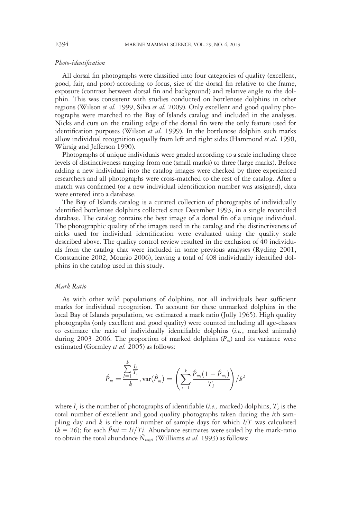# Photo-identification

All dorsal fin photographs were classified into four categories of quality (excellent, good, fair, and poor) according to focus, size of the dorsal fin relative to the frame, exposure (contrast between dorsal fin and background) and relative angle to the dolphin. This was consistent with studies conducted on bottlenose dolphins in other regions (Wilson et al. 1999, Silva et al. 2009). Only excellent and good quality photographs were matched to the Bay of Islands catalog and included in the analyses. Nicks and cuts on the trailing edge of the dorsal fin were the only feature used for identification purposes (Wilson et al. 1999). In the bottlenose dolphin such marks allow individual recognition equally from left and right sides (Hammond et al. 1990, Würsig and Jefferson 1990).

Photographs of unique individuals were graded according to a scale including three levels of distinctiveness ranging from one (small marks) to three (large marks). Before adding a new individual into the catalog images were checked by three experienced researchers and all photographs were cross-matched to the rest of the catalog. After a match was confirmed (or a new individual identification number was assigned), data were entered into a database.

The Bay of Islands catalog is a curated collection of photographs of individually identified bottlenose dolphins collected since December 1993, in a single reconciled database. The catalog contains the best image of a dorsal fin of a unique individual. The photographic quality of the images used in the catalog and the distinctiveness of nicks used for individual identification were evaluated using the quality scale described above. The quality control review resulted in the exclusion of 40 individuals from the catalog that were included in some previous analyses (Ryding 2001, Constantine 2002, Mourão 2006), leaving a total of  $408$  individually identified dolphins in the catalog used in this study.

#### Mark Ratio

As with other wild populations of dolphins, not all individuals bear sufficient marks for individual recognition. To account for these unmarked dolphins in the local Bay of Islands population, we estimated a mark ratio (Jolly 1965). High quality photographs (only excellent and good quality) were counted including all age-classes to estimate the ratio of individually identifiable dolphins (i.e., marked animals) during 2003–2006. The proportion of marked dolphins  $(P_m)$  and its variance were estimated (Gormley *et al.* 2005) as follows:

$$
\hat{P}_m = \frac{\sum_{l=1}^k \frac{I_i}{T_i}}{k}, \text{var}(\hat{P}_m) = \left(\sum_{i=1}^k \frac{\hat{P}_{m_i}(1-\hat{P}_{m_i})}{T_i}\right) / k^2
$$

where  $I_i$  is the number of photographs of identifiable (*i.e.*, marked) dolphins,  $T_i$  is the total number of excellent and good quality photographs taken during the *i*th sampling day and  $k$  is the total number of sample days for which  $I/T$  was calculated  $(k = 26)$ ; for each  $\hat{P}mi = Ii/Ti$ . Abundance estimates were scaled by the mark-ratio to obtain the total abundance  $N_{total}$  (Williams et al. 1993) as follows: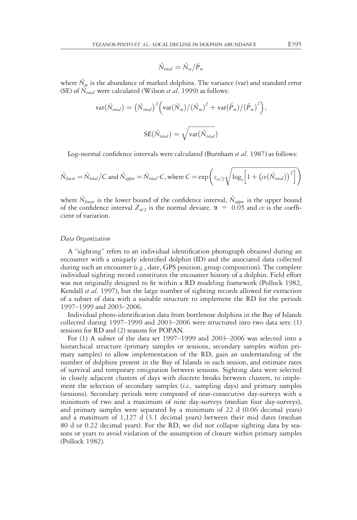$$
\hat{N}_{\text{total}} = \hat{N}_{m} / \hat{P}_{m}
$$

where  $\hat{N}_m$  is the abundance of marked dolphins. The variance (var) and standard error (SE) of  $\hat{N}_{total}$  were calculated (Wilson *et al.* 1999) as follows:

$$
var(\hat{N}_{total}) = (\hat{N}_{total})^2 (var(\hat{N}_m) / (\hat{N}_m)^2 + var(\hat{P}_m) / (\hat{P}_m)^2),
$$
  

$$
SE(\hat{N}_{total}) = \sqrt{var(\hat{N}_{total})}
$$

Log-normal confidence intervals were calculated (Burnham *et al.* 1987) as follows:

$$
\hat{N}_{lower} = \hat{N}_{total} / C \text{ and } \hat{N}_{upper} = \hat{N}_{total} \cdot C, \text{where } C = \exp\left(z_{a/2} \sqrt{\log_e \left[1 + \left(cv(\hat{N}_{total})\right)^2\right]}\right)
$$

where  $\hat{N}_{lower}$  is the lower bound of the confidence interval,  $\hat{N}_{upper}$  is the upper bound of the confidence interval  $Z_{\alpha/2}$  is the normal deviate,  $\alpha = 0.05$  and  $\alpha v$  is the coefficient of variation.

#### Data Organization

A "sighting" refers to an individual identification photograph obtained during an encounter with a uniquely identified dolphin (ID) and the associated data collected during such an encounter (e.g., date, GPS position, group composition). The complete individual sighting record constitutes the encounter history of a dolphin. Field effort was not originally designed to fit within a RD modeling framework (Pollock 1982, Kendall et al. 1997), but the large number of sighting records allowed for extraction of a subset of data with a suitable structure to implement the RD for the periods 1997–1999 and 2003–2006.

Individual photo-identification data from bottlenose dolphins in the Bay of Islands collected during 1997–1999 and 2003–2006 were structured into two data sets: (1) sessions for RD and (2) seasons for POPAN.

For (1) A subset of the data set 1997–1999 and 2003–2006 was selected into a hierarchical structure (primary samples or sessions, secondary samples within primary samples) to allow implementation of the RD, gain an understanding of the number of dolphins present in the Bay of Islands in each session, and estimate rates of survival and temporary emigration between sessions. Sighting data were selected in closely adjacent clusters of days with discrete breaks between clusters, to implement the selection of secondary samples (i.e., sampling days) and primary samples (sessions). Secondary periods were composed of near-consecutive day-surveys with a minimum of two and a maximum of nine day-surveys (median four day-surveys), and primary samples were separated by a minimum of 22 d (0.06 decimal years) and a maximum of 1,127 d (3.1 decimal years) between their mid dates (median 80 d or 0.22 decimal years). For the RD, we did not collapse sighting data by seasons or years to avoid violation of the assumption of closure within primary samples (Pollock 1982).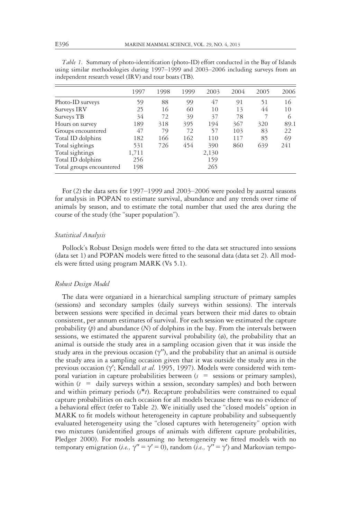|                          | 1997  | 1998 | 1999 | 2003  | 2004 | 2005 | 2006 |
|--------------------------|-------|------|------|-------|------|------|------|
| Photo-ID surveys         | 59    | 88   | 99   | 47    | 91   | 51   | 16   |
| Surveys IRV              | 25    | 16   | 60   | 10    | 13   | 44   | 10   |
| Surveys TB               | 34    | 72   | 39   | 37    | 78   |      | 6    |
| Hours on survey          | 189   | 318  | 395  | 194   | 367  | 320  | 89.1 |
| Groups encountered       | 47    | 79   | 72   | 57    | 103  | 83   | 22   |
| Total ID dolphins        | 182   | 166  | 162  | 110   | 117  | 85   | 69   |
| Total sightings          | 531   | 726  | 454  | 390   | 860  | 639  | 241  |
| Total sightings          | 1,711 |      |      | 2,130 |      |      |      |
| Total ID dolphins        | 256   |      |      | 159   |      |      |      |
| Total groups encountered | 198   |      |      | 265   |      |      |      |

Table 1. Summary of photo-identification (photo-ID) effort conducted in the Bay of Islands using similar methodologies during 1997–1999 and 2003–2006 including surveys from an independent research vessel (IRV) and tour boats (TB).

For (2) the data sets for 1997–1999 and 2003–2006 were pooled by austral seasons for analysis in POPAN to estimate survival, abundance and any trends over time of animals by season, and to estimate the total number that used the area during the course of the study (the "super population").

#### Statistical Analysis

Pollock's Robust Design models were fitted to the data set structured into sessions (data set 1) and POPAN models were fitted to the seasonal data (data set 2). All models were fitted using program MARK (Vs 5.1).

#### Robust Design Model

The data were organized in a hierarchical sampling structure of primary samples (sessions) and secondary samples (daily surveys within sessions). The intervals between sessions were specified in decimal years between their mid dates to obtain consistent, per annum estimates of survival. For each session we estimated the capture probability  $(p)$  and abundance  $(N)$  of dolphins in the bay. From the intervals between sessions, we estimated the apparent survival probability (ø), the probability that an animal is outside the study area in a sampling occasion given that it was inside the study area in the previous occasion  $(y'')$ , and the probability that an animal is outside the study area in a sampling occasion given that it was outside the study area in the previous occasion ( $\gamma'$ ; Kendall et al. 1995, 1997). Models were considered with temporal variation in capture probabilities between  $(s =$  sessions or primary samples), within  $(t = \text{daily surveys within a session, secondary samples})$  and both between and within primary periods  $(s^*t)$ . Recapture probabilities were constrained to equal capture probabilities on each occasion for all models because there was no evidence of a behavioral effect (refer to Table 2). We initially used the "closed models" option in MARK to fit models without heterogeneity in capture probability and subsequently evaluated heterogeneity using the "closed captures with heterogeneity" option with two mixtures (unidentified groups of animals with different capture probabilities, Pledger 2000). For models assuming no heterogeneity we fitted models with no temporary emigration (*i.e.*,  $\gamma'' = \gamma' = 0$ ), random (*i.e.*,  $\gamma'' = \gamma'$ ) and Markovian tempo-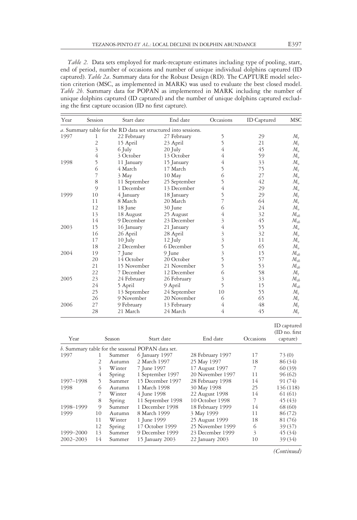Table 2. Data sets employed for mark-recapture estimates including type of pooling, start, end of period, number of occasions and number of unique individual dolphins captured (ID captured). Table 2a. Summary data for the Robust Design (RD). The CAPTURE model selection criterion (MSC, as implemented in MARK) was used to evaluate the best closed model. Table 2b. Summary data for POPAN as implemented in MARK including the number of unique dolphins captured (ID captured) and the number of unique dolphins captured excluding the first capture occasion (ID no first capture).

| Year | Session                 | Start date   | End date                                                       | Occasions               | <b>ID</b> Captured | <b>MSC</b>                 |
|------|-------------------------|--------------|----------------------------------------------------------------|-------------------------|--------------------|----------------------------|
|      |                         |              | a. Summary table for the RD data set structured into sessions. |                         |                    |                            |
| 1997 | 1                       | 22 February  | 27 February                                                    | 5                       | 29                 | $M_t$                      |
|      | 2                       | 15 April     | 23 April                                                       | 5                       | 21                 | $M_{t}$                    |
|      | $\overline{\mathbf{3}}$ | 6 July       | 20 July                                                        | 4                       | 45                 | $M_{\scriptscriptstyle a}$ |
|      | 4                       | 3 October    | 13 October                                                     | 4                       | 59                 | $M_{o}$                    |
| 1998 | 5                       | 11 January   | 15 January                                                     | 4                       | 33                 | $M_{\scriptscriptstyle a}$ |
|      | 6                       | 4 March      | 17 March                                                       | 5                       | 75                 | $M_t$                      |
|      | 7                       | 3 May        | 10 May                                                         | 6                       | 27                 | $M_{\scriptscriptstyle a}$ |
|      | 8                       | 11 September | 25 September                                                   | 5                       | 42                 | $M_{\scriptscriptstyle a}$ |
|      | 9                       | 1 December   | 13 December                                                    | 4                       | 29                 | $M_{\scriptscriptstyle a}$ |
| 1999 | 10                      | 4 January    | 18 January                                                     | 5                       | 29                 | М,                         |
|      | 11                      | 8 March      | 20 March                                                       | 7                       | 64                 | М,                         |
|      | 12                      | 18 June      | 30 June                                                        | 6                       | 24                 | $M_{\alpha}$               |
|      | 13                      | 18 August    | 25 August                                                      | 4                       | 32                 | $M_{th}$                   |
|      | 14                      | 9 December   | 23 December                                                    | 3                       | 45                 | $M_{tb}$                   |
| 2003 | 15                      | 16 January   | 21 January                                                     | 4                       | 55                 | $M_{o}$                    |
|      | 16                      | 26 April     | 28 April                                                       | 3                       | 32                 | $M_{\scriptscriptstyle a}$ |
|      | 17                      | $10$ July    | 12 July                                                        | $\overline{\mathbf{3}}$ | 11                 | $M_{\scriptscriptstyle a}$ |
|      | 18                      | 2 December   | 6 December                                                     | 5                       | 65                 | $M_{\scriptscriptstyle a}$ |
| 2004 | 19                      | 7 June       | 9 June                                                         | $\overline{\mathbf{3}}$ | 15                 | ${\cal M}_{tb}$            |
|      | 20                      | 14 October   | 20 October                                                     | 5                       | 57                 | ${\cal M}_{tb}$            |
|      | 21                      | 15 November  | 21 November                                                    | 5                       | 53                 | $M_{th}$                   |
|      | 22                      | 7 December   | 12 December                                                    | 6                       | 58                 | $M_t$                      |
| 2005 | 23                      | 24 February  | 26 February                                                    | 3                       | 33                 | $M_{th}$                   |
|      | 24                      | 5 April      | 9 April                                                        | 5                       | 15                 | $M_{tb}$                   |
|      | 25                      | 13 September | 24 September                                                   | 10                      | 55                 | $M_t$                      |
|      | 26                      | 9 November   | 20 November                                                    | 6                       | 65                 | $M_{t}$                    |
| 2006 | 27                      | 9 February   | 13 February                                                    | 4                       | 48                 | $M_t$                      |
|      | 28                      | 21 March     | 24 March                                                       | 4                       | 45                 | $M_t$                      |

| End date<br>Start date<br>Year<br>Season                            | Occasions | (ID no. first)<br>capture) |
|---------------------------------------------------------------------|-----------|----------------------------|
| b. Summary table for the seasonal POPAN data set.                   |           |                            |
| 28 February 1997<br>1997<br>6 January 1997<br>Summer<br>1           | 17        | 73 (0)                     |
| 25 May 1997<br>2 March 1997<br>2<br>Autumn                          | 18        | 86 (34)                    |
| 3<br>17 August 1997<br>7 June 1997<br>Winter                        | 7         | 60(39)                     |
| 1 September 1997<br>20 November 1997<br>4<br>Spring                 | 11        | 96(62)                     |
| 5<br>15 December 1997<br>1997-1998<br>28 February 1998<br>Summer    | 14        | 91 (74)                    |
| 6<br>30 May 1998<br>1998<br>1 March 1998<br>Autumn                  | 25        | 136 (118)                  |
| 22 August 1998<br>4 June 1998<br>Winter                             | 14        | 61 (61)                    |
| 10 October 1998<br>11 September 1998<br>8<br>Spring                 | 7         | 45(43)                     |
| 9<br>1 December 1998<br>1998-1999<br>18 February 1999<br>Summer     | 14        | 68 (60)                    |
| 1999<br>8 March 1999<br>3 May 1999<br>10<br>Autumn                  | 11        | 86 (72)                    |
| 25 August 1999<br>Winter<br>1 June 1999<br>11                       | 18        | 81 (76)                    |
| 17 October 1999<br>25 November 1999<br>12<br>Spring                 | 6         | 39(37)                     |
| 9 December 1999<br>23 December 1999<br>1999-2000<br>13<br>Summer    | 3         | 45 (34)                    |
| 14<br>$2002 - 2003$<br>15 January 2003<br>22 January 2003<br>Summer | 10        | 39(34)                     |

(Continued)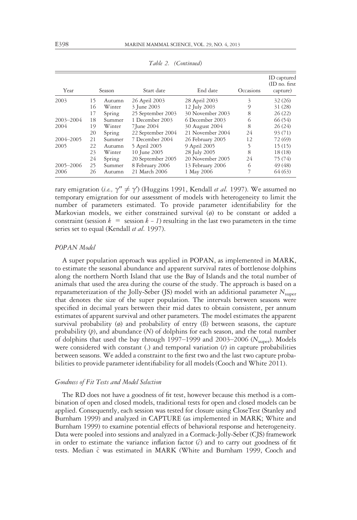| Year      |    | Season | Start date        | End date         | Occasions | ID captured<br>(ID no. first)<br>capture) |
|-----------|----|--------|-------------------|------------------|-----------|-------------------------------------------|
| 2003      | 15 | Autumn | 26 April 2003     | 28 April 2003    | 3         | 32(26)                                    |
|           | 16 | Winter | 3 June 2003       | 12 July 2003     | 9         | 31(28)                                    |
|           | 17 | Spring | 25 September 2003 | 30 November 2003 | 8         | 26(22)                                    |
| 2003-2004 | 18 | Summer | 1 December 2003   | 6 December 2003  | 6         | 66 (54)                                   |
| 2004      | 19 | Winter | 7 June 2004       | 30 August 2004   | 8         | 26(24)                                    |
|           | 20 | Spring | 22 September 2004 | 21 November 2004 | 24        | 93 (71)                                   |
| 2004-2005 | 21 | Summer | 7 December 2004   | 26 February 2005 | 12        | 72 (69)                                   |
| 2005      | 22 | Autumn | 5 April 2005      | 9 April 2005     | 5         | 15(15)                                    |
|           | 23 | Winter | 10 June 2005      | 28 July 2005     | 8         | 18(18)                                    |
|           | 24 | Spring | 20 September 2005 | 20 November 2005 | 24        | 75 (74)                                   |
| 2005-2006 | 25 | Summer | 8 February 2006   | 13 February 2006 | 6         | 49 (48)                                   |
| 2006      | 26 | Autumn | 21 March 2006     | 1 May 2006       | 7         | 64(63)                                    |

Table 2. (Continued)

rary emigration (i.e.,  $\gamma'' \neq \gamma'$ ) (Huggins 1991, Kendall et al. 1997). We assumed no temporary emigration for our assessment of models with heterogeneity to limit the number of parameters estimated. To provide parameter identifiability for the Markovian models, we either constrained survival (ø) to be constant or added a constraint (session  $k =$  session  $k - 1$ ) resulting in the last two parameters in the time series set to equal (Kendall et al. 1997).

#### POPAN Model

A super population approach was applied in POPAN, as implemented in MARK, to estimate the seasonal abundance and apparent survival rates of bottlenose dolphins along the northern North Island that use the Bay of Islands and the total number of animals that used the area during the course of the study. The approach is based on a reparameterization of the Jolly-Seber (JS) model with an additional parameter  $N_{\text{super}}$ that denotes the size of the super population. The intervals between seasons were specified in decimal years between their mid dates to obtain consistent, per annum estimates of apparent survival and other parameters. The model estimates the apparent survival probability (ø) and probability of entry (ß) between seasons, the capture probability  $(p)$ , and abundance  $(N)$  of dolphins for each season, and the total number of dolphins that used the bay through 1997–1999 and 2003–2006 ( $N_{\text{super}}$ ). Models were considered with constant  $(.)$  and temporal variation  $(t)$  in capture probabilities between seasons. We added a constraint to the first two and the last two capture probabilities to provide parameter identifiability for all models (Cooch and White 2011).

#### Goodness of Fit Tests and Model Selection

The RD does not have a goodness of fit test, however because this method is a combination of open and closed models, traditional tests for open and closed models can be applied. Consequently, each session was tested for closure using CloseTest (Stanley and Burnham 1999) and analyzed in CAPTURE (as implemented in MARK; White and Burnham 1999) to examine potential effects of behavioral response and heterogeneity. Data were pooled into sessions and analyzed in a Cormack-Jolly-Seber (CJS) framework in order to estimate the variance inflation factor  $(\hat{c})$  and to carry out goodness of fit tests. Median ^c was estimated in MARK (White and Burnham 1999, Cooch and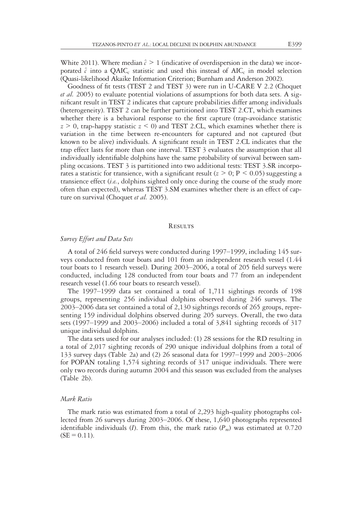White 2011). Where median  $\hat{c} > 1$  (indicative of overdispersion in the data) we incorporated  $\hat{c}$  into a QAIC<sub>c</sub> statistic and used this instead of AIC<sub>c</sub> in model selection (Quasi-likelihood Akaike Information Criterion; Burnham and Anderson 2002).

Goodness of fit tests (TEST 2 and TEST 3) were run in U-CARE V 2.2 (Choquet et al. 2005) to evaluate potential violations of assumptions for both data sets. A significant result in TEST 2 indicates that capture probabilities differ among individuals (heterogeneity). TEST 2 can be further partitioned into TEST 2.CT, which examines whether there is a behavioral response to the first capture (trap-avoidance statistic  $z \ge 0$ , trap-happy statistic  $z \le 0$ ) and TEST 2.CL, which examines whether there is variation in the time between re-encounters for captured and not captured (but known to be alive) individuals. A significant result in TEST 2.CL indicates that the trap effect lasts for more than one interval. TEST 3 evaluates the assumption that all individually identifiable dolphins have the same probability of survival between sampling occasions. TEST 3 is partitioned into two additional tests: TEST 3.SR incorporates a statistic for transience, with a significant result ( $z > 0$ ; P < 0.05) suggesting a transience effect  $(i.e.,$  dolphins sighted only once during the course of the study more often than expected), whereas TEST 3.SM examines whether there is an effect of capture on survival (Choquet et al. 2005).

#### **RESULTS**

### Survey Effort and Data Sets

A total of 246 field surveys were conducted during 1997–1999, including 145 surveys conducted from tour boats and 101 from an independent research vessel (1.44 tour boats to 1 research vessel). During 2003–2006, a total of 205 field surveys were conducted, including 128 conducted from tour boats and 77 from an independent research vessel (1.66 tour boats to research vessel).

The 1997–1999 data set contained a total of 1,711 sightings records of 198 groups, representing 256 individual dolphins observed during 246 surveys. The 2003–2006 data set contained a total of 2,130 sightings records of 265 groups, representing 159 individual dolphins observed during 205 surveys. Overall, the two data sets (1997–1999 and 2003–2006) included a total of 3,841 sighting records of 317 unique individual dolphins.

The data sets used for our analyses included: (1) 28 sessions for the RD resulting in a total of 2,017 sighting records of 290 unique individual dolphins from a total of 133 survey days (Table 2a) and (2) 26 seasonal data for 1997–1999 and 2003–2006 for POPAN totaling 1,574 sighting records of 317 unique individuals. There were only two records during autumn 2004 and this season was excluded from the analyses (Table 2b).

#### Mark Ratio

The mark ratio was estimated from a total of 2,293 high-quality photographs collected from 26 surveys during 2003–2006. Of these, 1,640 photographs represented identifiable individuals (*I*). From this, the mark ratio ( $P_m$ ) was estimated at 0.720  $(SE = 0.11)$ .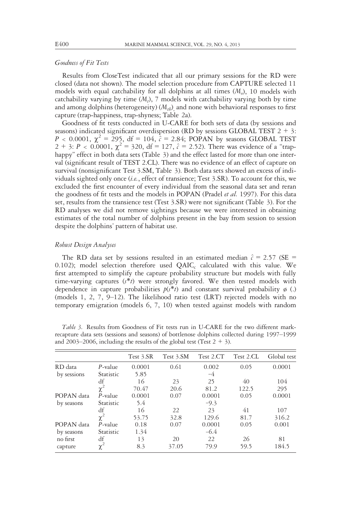# Goodness of Fit Tests

Results from CloseTest indicated that all our primary sessions for the RD were closed (data not shown). The model selection procedure from CAPTURE selected 11 models with equal catchability for all dolphins at all times  $(M<sub>a</sub>)$ , 10 models with catchability varying by time  $(M_t)$ , 7 models with catchability varying both by time and among dolphins (heterogeneity)  $(M_{th})$  and none with behavioral responses to first capture (trap-happiness, trap-shyness; Table 2a).

Goodness of fit tests conducted in U-CARE for both sets of data (by sessions and seasons) indicated significant overdispersion (RD by sessions GLOBAL TEST  $2 + 3$ :  $P < 0.0001$ ,  $\chi^2 = 295$ , df = 104,  $\tilde{c} = 2.84$ ; POPAN by seasons GLOBAL TEST 2 + 3: P < 0.0001,  $\chi^2$  = 320, df = 127,  $\hat{c}$  = 2.52). There was evidence of a "traphappy" effect in both data sets (Table 3) and the effect lasted for more than one interval (significant result of TEST 2.CL). There was no evidence of an effect of capture on survival (nonsignificant Test 3.SM, Table 3). Both data sets showed an excess of individuals sighted only once (i.e., effect of transience; Test 3.SR). To account for this, we excluded the first encounter of every individual from the seasonal data set and reran the goodness of fit tests and the models in POPAN (Pradel et al. 1997). For this data set, results from the transience test (Test 3.SR) were not significant (Table 3). For the RD analyses we did not remove sightings because we were interested in obtaining estimates of the total number of dolphins present in the bay from session to session despite the dolphins' pattern of habitat use.

## Robust Design Analyses

The RD data set by sessions resulted in an estimated median  $\hat{c} = 2.57$  (SE = 0.102); model selection therefore used  $QAIC_c$  calculated with this value. We first attempted to simplify the capture probability structure but models with fully time-varying captures  $(s^*t)$  were strongly favored. We then tested models with dependence in capture probabilities  $p(s^*t)$  and constant survival probability  $\phi$  (.) (models 1, 2, 7,  $9-12$ ). The likelihood ratio test (LRT) rejected models with no temporary emigration (models 6, 7, 10) when tested against models with random

|             |            | Test 3.SR | Test 3.SM | Test 2.CT | Test 2.CL | Global test |
|-------------|------------|-----------|-----------|-----------|-----------|-------------|
| RD data     | $P$ -value | 0.0001    | 0.61      | 0.002     | 0.05      | 0.0001      |
| by sessions | Statistic  | 5.85      |           | $-4$      |           |             |
|             | df         | 16        | 23        | 25        | 40        | 104         |
|             | $\chi^2$   | 70.47     | 20.6      | 81.2      | 122.5     | 295         |
| POPAN data  | $P$ -value | 0.0001    | 0.07      | 0.0001    | 0.05      | 0.0001      |
| by seasons  | Statistic  | 5.4       |           | $-9.3$    |           |             |
|             | df         | 16        | 22        | 23        | 41        | 107         |
|             | $\chi^2$   | 53.75     | 32.8      | 129.6     | 81.7      | 316.2       |
| POPAN data  | $P$ -value | 0.18      | 0.07      | 0.0001    | 0.05      | 0.001       |
| by seasons  | Statistic  | 1.34      |           | $-6.4$    |           |             |
| no first    | df         | 13        | 20        | 22        | 26        | 81          |
| capture     | $\chi^2$   | 8.3       | 37.05     | 79.9      | 59.5      | 184.5       |

Table 3. Results from Goodness of Fit tests run in U-CARE for the two different markrecapture data sets (sessions and seasons) of bottlenose dolphins collected during 1997–1999 and 2003–2006, including the results of the global test (Test  $2 + 3$ ).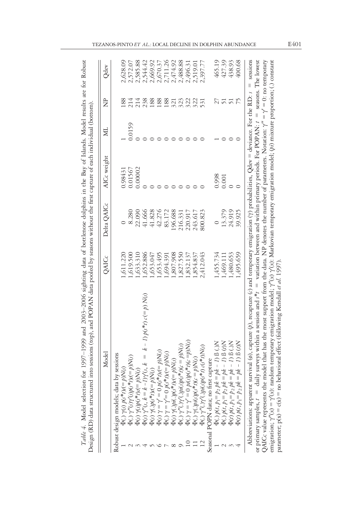| Model                                                                                                                                                                                                                                                                                                                                                                                                                                                                                                                     | QAICc     |           | Delta QAICc | AICc weight | Ŕ      | È               | Qdev     |
|---------------------------------------------------------------------------------------------------------------------------------------------------------------------------------------------------------------------------------------------------------------------------------------------------------------------------------------------------------------------------------------------------------------------------------------------------------------------------------------------------------------------------|-----------|-----------|-------------|-------------|--------|-----------------|----------|
| Robust design models; data by sessions                                                                                                                                                                                                                                                                                                                                                                                                                                                                                    |           |           |             |             |        |                 |          |
|                                                                                                                                                                                                                                                                                                                                                                                                                                                                                                                           |           | .,611.220 |             | 0.98431     |        | 188             | 2,628.09 |
|                                                                                                                                                                                                                                                                                                                                                                                                                                                                                                                           |           | ,619.500  | 8.280       | 0.01567     | 0.0159 | 214             | 2,572.07 |
| $\begin{array}{l} \Phi(.)\ \gamma(\iota)\ \rho(\iota^*t)\epsilon(p)N(\iota)\\ \Phi(.)\ \gamma'(\iota)\gamma'(\iota)\rho(\iota^*t)\epsilon(\epsilon(p)N(\iota)\\ \Phi(\iota)\ \gamma'(\iota)\gamma'(\iota^*t)\epsilon(\epsilon(p)N(\iota)\\ \Phi(\iota)\ \gamma'(\iota,k=\ell-1)\gamma'(\iota,k\quad=\quad k-1)\ \rho(\iota^*t)\epsilon(\epsilon(p)N(\iota)\\ \Phi(\iota)\ \gamma=\gamma'=\rho\ \rho(\iota^*t)\epsilon(\epsilon(p)N(\iota)\\ \Phi(\iota)\ \gamma=\gamma'=\rho\ \rho(\iota^*t)\epsilon(\epsilon(p)N(\$      |           | ,633.310  | 22.090      | 0.00002     |        | 214             | 2,585.88 |
|                                                                                                                                                                                                                                                                                                                                                                                                                                                                                                                           |           | ,652.886  | 41.666      |             |        | 238             | 2,544.42 |
|                                                                                                                                                                                                                                                                                                                                                                                                                                                                                                                           |           | .,653.047 | 41.828      |             |        | 188             | 2,669.92 |
|                                                                                                                                                                                                                                                                                                                                                                                                                                                                                                                           |           | ,653.495  | 42.276      |             |        | 188             | 2,670.37 |
|                                                                                                                                                                                                                                                                                                                                                                                                                                                                                                                           | .,694.391 |           | 83.172      |             |        | 188             | 2,711.26 |
|                                                                                                                                                                                                                                                                                                                                                                                                                                                                                                                           |           | 807.908   | 196.688     |             |        | 321             | 2,474.92 |
|                                                                                                                                                                                                                                                                                                                                                                                                                                                                                                                           |           | ,827.550  | 216.331     |             |        | 323             | 2,488.88 |
|                                                                                                                                                                                                                                                                                                                                                                                                                                                                                                                           |           | ,832.137  | 220.917     |             |        | 322             | 2,496.31 |
|                                                                                                                                                                                                                                                                                                                                                                                                                                                                                                                           |           | ,854.837  | 243.617     |             |        | 322             | 2,519.01 |
| $\Phi(.) \gamma''(.) \gamma'(.) \dot{p} (s) \dot{p} (s^* t) \, c(s^* t) N(s)$                                                                                                                                                                                                                                                                                                                                                                                                                                             | 2,412.043 |           | 800.823     |             |        | 531             | 2,397.77 |
| Seasonal POPN data; no first capture                                                                                                                                                                                                                                                                                                                                                                                                                                                                                      |           |           |             |             |        |                 |          |
| $\Phi(.) p(t, p_1 = p_2 p k = p k - 1)$ B (.)N                                                                                                                                                                                                                                                                                                                                                                                                                                                                            |           | 1,455.734 |             | 0.998       |        | 27              | 465.19   |
| $\Phi(.) p(t, p_1 = p_2 p k = p k - 1)$ B $(t)N$                                                                                                                                                                                                                                                                                                                                                                                                                                                                          | 1,469.111 |           | 13.379      | 0.001       |        | $\overline{51}$ | 427.39   |
| $\Phi(t) p(t, p_1 = p_2 p k = p k - 1) \beta(.)N$                                                                                                                                                                                                                                                                                                                                                                                                                                                                         |           | 1,480.653 | 24.919      |             |        | $\overline{51}$ | 438.93   |
| $= p k - 1$ ) $\beta(t)N$<br>$\Phi(t) p(t, p_1 = p_2 p k)$                                                                                                                                                                                                                                                                                                                                                                                                                                                                |           | ,495.659  | 39.925      |             |        |                 | 400.68   |
| survival ( $\phi$ ), capture ( $\rho$ ), recapture ( $\phi$ ) and temporary emigration ( $\gamma$ ) probabilities, Qdev = deviance. For the RD: $s =$ sessions<br>or primary samples, $t =$ daily surveys within a session and $s^*t =$ variation between and within primary periods. For POPAN: $t =$ seasons. The lowest<br>QAICc value represents the model that has the most support from the data. NP denotes the number of parameters. Notation: $\gamma'' = \gamma' = 0$ : no temporary<br>Abbreviations: apparent |           |           |             |             |        |                 |          |

emigration;  $\gamma''(x) = \gamma'(x)$ : random temporary emigration model;  $\gamma''(x)$   $\gamma'(x)$ : Markovian temporary emigration model; (pi) mixture proportion; (.) constant

parameter; p(x)

 $= c(x) =$ 

= no behavioral effect (following Kendall et al. 1997).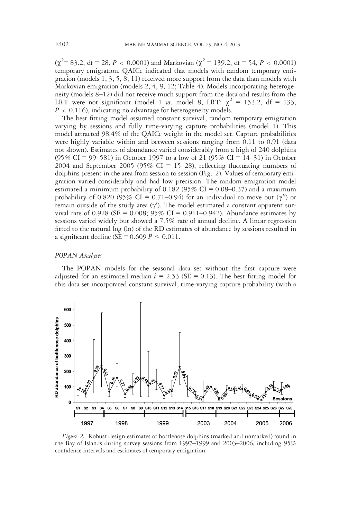$(\chi^2 = 83.2, df = 28, P < 0.0001)$  and Markovian  $(\chi^2 = 139.2, df = 54, P < 0.0001)$ temporary emigration. QAICc indicated that models with random temporary emigration (models 1, 3, 5, 8, 11) received more support from the data than models with Markovian emigration (models 2, 4, 9, 12; Table 4). Models incorporating heterogeneity (models 8–12) did not receive much support from the data and results from the LRT were not significant (model 1 vs. model 8, LRT:  $\chi^2 = 153.2$ , df = 133,  $P < 0.116$ ), indicating no advantage for heterogeneity models.

The best fitting model assumed constant survival, random temporary emigration varying by sessions and fully time-varying capture probabilities (model 1). This model attracted 98.4% of the QAICc weight in the model set. Capture probabilities were highly variable within and between sessions ranging from 0.11 to 0.91 (data not shown). Estimates of abundance varied considerably from a high of 240 dolphins (95% CI = 99–581) in October 1997 to a low of 21 (95% CI = 14–31) in October 2004 and September 2005 (95% CI = 15–28), reflecting fluctuating numbers of dolphins present in the area from session to session (Fig. 2). Values of temporary emigration varied considerably and had low precision. The random emigration model estimated a minimum probability of 0.182 (95% CI =  $0.08-0.37$ ) and a maximum probability of 0.820 (95% CI = 0.71–0.94) for an individual to move out ( $\gamma''$ ) or remain outside of the study area  $(\gamma')$ . The model estimated a constant apparent survival rate of 0.928 (SE = 0.008; 95% CI = 0.911-0.942). Abundance estimates by sessions varied widely but showed a 7.5% rate of annual decline. A linear regression fitted to the natural log (ln) of the RD estimates of abundance by sessions resulted in a significant decline (SE =  $0.609 P \le 0.011$ .

#### POPAN Analyses

The POPAN models for the seasonal data set without the first capture were adjusted for an estimated median  $\hat{c} = 2.53$  (SE = 0.13). The best fitting model for this data set incorporated constant survival, time-varying capture probability (with a



Figure 2. Robust design estimates of bottlenose dolphins (marked and unmarked) found in the Bay of Islands during survey sessions from 1997–1999 and 2003–2006, including 95% confidence intervals and estimates of temporary emigration.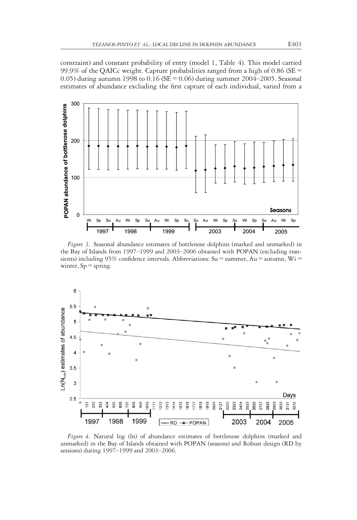constraint) and constant probability of entry (model 1, Table 4). This model carried 99.9% of the QAICc weight. Capture probabilities ranged from a high of 0.86 (SE  $=$ 0.05) during autumn 1998 to  $0.16$  (SE = 0.06) during summer 2004–2005. Seasonal estimates of abundance excluding the first capture of each individual, varied from a



Figure 3. Seasonal abundance estimates of bottlenose dolphins (marked and unmarked) in the Bay of Islands from 1997–1999 and 2003–2006 obtained with POPAN (excluding transients) including 95% confidence intervals. Abbreviations: Su = summer, Au = autumn, Wi = winter,  $Sp =$  spring.



Figure 4. Natural log (ln) of abundance estimates of bottlenose dolphins (marked and unmarked) in the Bay of Islands obtained with POPAN (seasons) and Robust design (RD by sessions) during 1997–1999 and 2003–2006.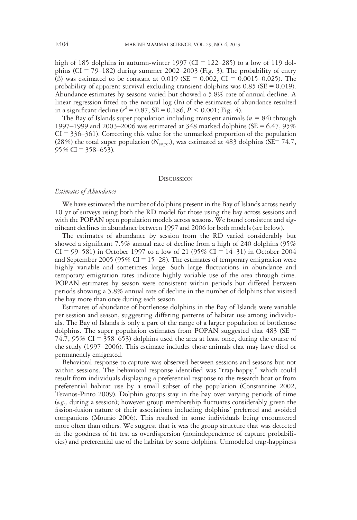high of 185 dolphins in autumn-winter 1997 (CI =  $122-285$ ) to a low of 119 dolphins (CI = 79–182) during summer 2002–2003 (Fig. 3). The probability of entry (B) was estimated to be constant at  $0.019$  (SE = 0.002, CI = 0.0015–0.025). The probability of apparent survival excluding transient dolphins was  $0.85$  (SE = 0.019). Abundance estimates by seasons varied but showed a 5.8% rate of annual decline. A linear regression fitted to the natural log (ln) of the estimates of abundance resulted in a significant decline ( $r^2 = 0.87$ , SE = 0.186, P < 0.001; Fig. 4).

The Bay of Islands super population including transient animals ( $n = 84$ ) through 1997–1999 and 2003–2006 was estimated at  $348$  marked dolphins (SE = 6.47, 95%)  $CI = 336-361$ . Correcting this value for the unmarked proportion of the population (28%) the total super population ( $N_{\text{super}}$ ), was estimated at 483 dolphins (SE= 74.7,  $95\%$  CI = 358–653).

#### **DISCUSSION**

# Estimates of Abundance

We have estimated the number of dolphins present in the Bay of Islands across nearly 10 yr of surveys using both the RD model for those using the bay across sessions and with the POPAN open population models across seasons. We found consistent and significant declines in abundance between 1997 and 2006 for both models (see below).

The estimates of abundance by session from the RD varied considerably but showed a significant 7.5% annual rate of decline from a high of 240 dolphins (95% CI = 99–581) in October 1997 to a low of 21 (95% CI = 14–31) in October 2004 and September 2005 (95% CI = 15–28). The estimates of temporary emigration were highly variable and sometimes large. Such large fluctuations in abundance and temporary emigration rates indicate highly variable use of the area through time. POPAN estimates by season were consistent within periods but differed between periods showing a 5.8% annual rate of decline in the number of dolphins that visited the bay more than once during each season.

Estimates of abundance of bottlenose dolphins in the Bay of Islands were variable per session and season, suggesting differing patterns of habitat use among individuals. The Bay of Islands is only a part of the range of a larger population of bottlenose dolphins. The super population estimates from POPAN suggested that  $483$  (SE = 74.7, 95% CI = 358–653) dolphins used the area at least once, during the course of the study (1997–2006). This estimate includes those animals that may have died or permanently emigrated.

Behavioral response to capture was observed between sessions and seasons but not within sessions. The behavioral response identified was "trap-happy," which could result from individuals displaying a preferential response to the research boat or from preferential habitat use by a small subset of the population (Constantine 2002, Tezanos-Pinto 2009). Dolphin groups stay in the bay over varying periods of time (e.g., during a session); however group membership fluctuates considerably given the fission-fusion nature of their associations including dolphins' preferred and avoided companions (Mourão 2006). This resulted in some individuals being encountered more often than others. We suggest that it was the group structure that was detected in the goodness of fit test as overdispersion (nonindependence of capture probabilities) and preferential use of the habitat by some dolphins. Unmodeled trap-happiness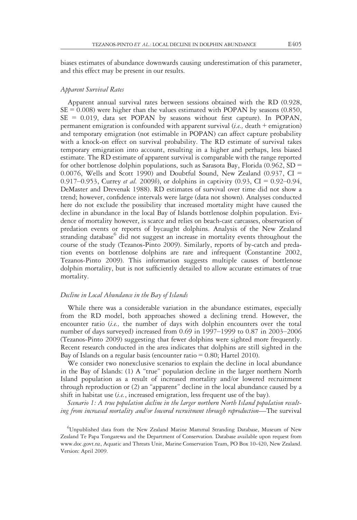biases estimates of abundance downwards causing underestimation of this parameter, and this effect may be present in our results.

# Apparent Survival Rates

Apparent annual survival rates between sessions obtained with the RD (0.928,  $SE = 0.008$ ) were higher than the values estimated with POPAN by seasons (0.850,  $SE = 0.019$ , data set POPAN by seasons without first capture). In POPAN, permanent emigration is confounded with apparent survival (i.e., death + emigration) and temporary emigration (not estimable in POPAN) can affect capture probability with a knock-on effect on survival probability. The RD estimate of survival takes temporary emigration into account, resulting in a higher and perhaps, less biased estimate. The RD estimate of apparent survival is comparable with the range reported for other bottlenose dolphin populations, such as Sarasota Bay, Florida  $(0.962, SD =$ 0.0076, Wells and Scott 1990) and Doubtful Sound, New Zealand (0.937, CI = 0.917–0.953, Currey *et al.* 2009*b*), or dolphins in captivity (0.93, CI = 0.92–0.94, DeMaster and Drevenak 1988). RD estimates of survival over time did not show a trend; however, confidence intervals were large (data not shown). Analyses conducted here do not exclude the possibility that increased mortality might have caused the decline in abundance in the local Bay of Islands bottlenose dolphin population. Evidence of mortality however, is scarce and relies on beach-cast carcasses, observation of predation events or reports of bycaught dolphins. Analysis of the New Zealand stranding database<sup>6</sup> did not suggest an increase in mortality events throughout the course of the study (Tezanos-Pinto 2009). Similarly, reports of by-catch and predation events on bottlenose dolphins are rare and infrequent (Constantine 2002, Tezanos-Pinto 2009). This information suggests multiple causes of bottlenose dolphin mortality, but is not sufficiently detailed to allow accurate estimates of true mortality.

# Decline in Local Abundance in the Bay of Islands

While there was a considerable variation in the abundance estimates, especially from the RD model, both approaches showed a declining trend. However, the encounter ratio  $(i.e.,$  the number of days with dolphin encounters over the total number of days surveyed) increased from 0.69 in 1997–1999 to 0.87 in 2003–2006 (Tezanos-Pinto 2009) suggesting that fewer dolphins were sighted more frequently. Recent research conducted in the area indicates that dolphins are still sighted in the Bay of Islands on a regular basis (encounter ratio  $= 0.80$ ; Hartel 2010).

We consider two nonexclusive scenarios to explain the decline in local abundance in the Bay of Islands: (1) A "true" population decline in the larger northern North Island population as a result of increased mortality and/or lowered recruitment through reproduction or (2) an "apparent" decline in the local abundance caused by a shift in habitat use  $(i.e.,$  increased emigration, less frequent use of the bay).

Scenario 1: A true population decline in the larger northern North Island population resulting from increased mortality and/or lowered recruitment through reproduction—The survival

<sup>6</sup> Unpublished data from the New Zealand Marine Mammal Stranding Database, Museum of New Zealand Te Papa Tongarewa and the Department of Conservation. Database available upon request from www.doc.govt.nz, Aquatic and Threats Unit, Marine Conservation Team, PO Box 10-420, New Zealand. Version: April 2009.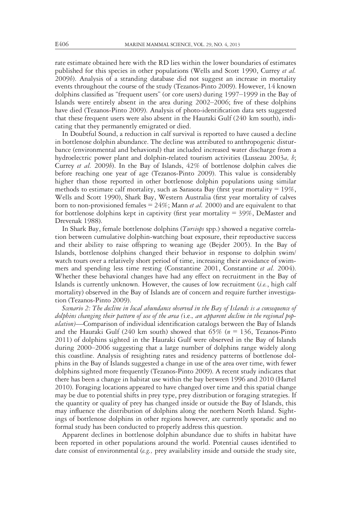rate estimate obtained here with the RD lies within the lower boundaries of estimates published for this species in other populations (Wells and Scott 1990, Currey et al. 2009b). Analysis of a stranding database did not suggest an increase in mortality events throughout the course of the study (Tezanos-Pinto 2009). However, 14 known dolphins classified as "frequent users" (or core users) during 1997–1999 in the Bay of Islands were entirely absent in the area during 2002–2006; five of these dolphins have died (Tezanos-Pinto 2009). Analysis of photo-identification data sets suggested that these frequent users were also absent in the Hauraki Gulf (240 km south), indicating that they permanently emigrated or died.

In Doubtful Sound, a reduction in calf survival is reported to have caused a decline in bottlenose dolphin abundance. The decline was attributed to anthropogenic disturbance (environmental and behavioral) that included increased water discharge from a hydroelectric power plant and dolphin-related tourism activities (Lusseau 2003a, b; Currey et al. 2009b). In the Bay of Islands, 42% of bottlenose dolphin calves die before reaching one year of age (Tezanos-Pinto 2009). This value is considerably higher than those reported in other bottlenose dolphin populations using similar methods to estimate calf mortality, such as Sarasota Bay (first year mortality  $= 19\%$ , Wells and Scott 1990), Shark Bay, Western Australia (first year mortality of calves born to non-provisioned females =  $24\%$ ; Mann *et al.* 2000) and are equivalent to that for bottlenose dolphins kept in captivity (first year mortality  $= 39\%$ , DeMaster and Drevenak 1988).

In Shark Bay, female bottlenose dolphins (Tursiops spp.) showed a negative correlation between cumulative dolphin-watching boat exposure, their reproductive success and their ability to raise offspring to weaning age (Bejder 2005). In the Bay of Islands, bottlenose dolphins changed their behavior in response to dolphin swim/ watch tours over a relatively short period of time, increasing their avoidance of swimmers and spending less time resting (Constantine 2001, Constantine *et al.* 2004). Whether these behavioral changes have had any effect on recruitment in the Bay of Islands is currently unknown. However, the causes of low recruitment (i.e., high calf mortality) observed in the Bay of Islands are of concern and require further investigation (Tezanos-Pinto 2009).

Scenario 2: The decline in local abundance observed in the Bay of Islands is a consequence of dolphins changing their pattern of use of the area (i.e., an apparent decline in the regional population)—Comparison of individual identification catalogs between the Bay of Islands and the Hauraki Gulf (240 km south) showed that  $65\%$  ( $n = 136$ , Tezanos-Pinto 2011) of dolphins sighted in the Hauraki Gulf were observed in the Bay of Islands during 2000–2006 suggesting that a large number of dolphins range widely along this coastline. Analysis of resighting rates and residency patterns of bottlenose dolphins in the Bay of Islands suggested a change in use of the area over time, with fewer dolphins sighted more frequently (Tezanos-Pinto 2009). A recent study indicates that there has been a change in habitat use within the bay between 1996 and 2010 (Hartel 2010). Foraging locations appeared to have changed over time and this spatial change may be due to potential shifts in prey type, prey distribution or foraging strategies. If the quantity or quality of prey has changed inside or outside the Bay of Islands, this may influence the distribution of dolphins along the northern North Island. Sightings of bottlenose dolphins in other regions however, are currently sporadic and no formal study has been conducted to properly address this question.

Apparent declines in bottlenose dolphin abundance due to shifts in habitat have been reported in other populations around the world. Potential causes identified to date consist of environmental (e.g., prey availability inside and outside the study site,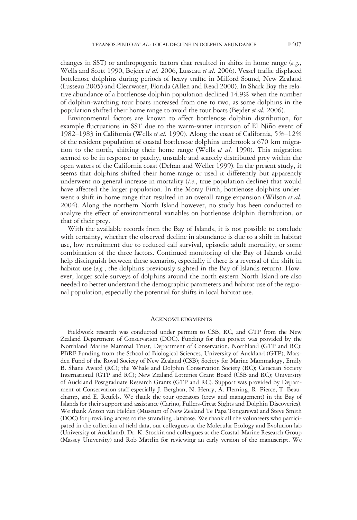changes in SST) or anthropogenic factors that resulted in shifts in home range  $(e.g.,)$ Wells and Scott 1990, Bejder et al. 2006, Lusseau et al. 2006). Vessel traffic displaced bottlenose dolphins during periods of heavy traffic in Milford Sound, New Zealand (Lusseau 2005) and Clearwater, Florida (Allen and Read 2000). In Shark Bay the relative abundance of a bottlenose dolphin population declined 14.9% when the number of dolphin-watching tour boats increased from one to two, as some dolphins in the population shifted their home range to avoid the tour boats (Bejder et al. 2006).

Environmental factors are known to affect bottlenose dolphin distribution, for example fluctuations in SST due to the warm-water incursion of El Niño event of 1982–1983 in California (Wells et al. 1990). Along the coast of California,  $5\%$ –12% of the resident population of coastal bottlenose dolphins undertook a 670 km migration to the north, shifting their home range (Wells *et al.* 1990). This migration seemed to be in response to patchy, unstable and scarcely distributed prey within the open waters of the California coast (Defran and Weller 1999). In the present study, it seems that dolphins shifted their home-range or used it differently but apparently underwent no general increase in mortality  $(i.e., true population decline)$  that would have affected the larger population. In the Moray Firth, bottlenose dolphins underwent a shift in home range that resulted in an overall range expansion (Wilson *et al.*) 2004). Along the northern North Island however, no study has been conducted to analyze the effect of environmental variables on bottlenose dolphin distribution, or that of their prey.

With the available records from the Bay of Islands, it is not possible to conclude with certainty, whether the observed decline in abundance is due to a shift in habitat use, low recruitment due to reduced calf survival, episodic adult mortality, or some combination of the three factors. Continued monitoring of the Bay of Islands could help distinguish between these scenarios, especially if there is a reversal of the shift in habitat use (e.g., the dolphins previously sighted in the Bay of Islands return). However, larger scale surveys of dolphins around the north eastern North Island are also needed to better understand the demographic parameters and habitat use of the regional population, especially the potential for shifts in local habitat use.

#### **ACKNOWLEDGMENTS**

Fieldwork research was conducted under permits to CSB, RC, and GTP from the New Zealand Department of Conservation (DOC). Funding for this project was provided by the Northland Marine Mammal Trust, Department of Conservation, Northland (GTP and RC); PBRF Funding from the School of Biological Sciences, University of Auckland (GTP); Marsden Fund of the Royal Society of New Zealand (CSB); Society for Marine Mammalogy, Emily B. Shane Award (RC); the Whale and Dolphin Conservation Society (RC); Cetacean Society International (GTP and RC); New Zealand Lotteries Grant Board (CSB and RC); University of Auckland Postgraduate Research Grants (GTP and RC). Support was provided by Department of Conservation staff especially J. Berghan, N. Henry, A. Fleming, R. Pierce, T. Beauchamp, and E. Reufels. We thank the tour operators (crew and management) in the Bay of Islands for their support and assistance (Carino, Fullers-Great Sights and Dolphin Discoveries). We thank Anton van Helden (Museum of New Zealand Te Papa Tongarewa) and Steve Smith (DOC) for providing access to the stranding database. We thank all the volunteers who participated in the collection of field data, our colleagues at the Molecular Ecology and Evolution lab (University of Auckland), Dr. K. Stockin and colleagues at the Coastal-Marine Research Group (Massey University) and Rob Mattlin for reviewing an early version of the manuscript. We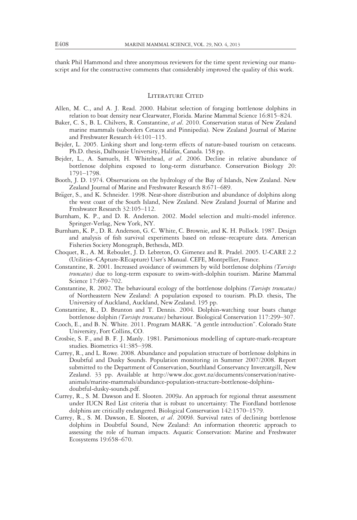thank Phil Hammond and three anonymous reviewers for the time spent reviewing our manuscript and for the constructive comments that considerably improved the quality of this work.

# LITERATURE CITED

- Allen, M. C., and A. J. Read. 2000. Habitat selection of foraging bottlenose dolphins in relation to boat density near Clearwater, Florida. Marine Mammal Science 16:815–824.
- Baker, C. S., B. L. Chilvers, R. Constantine, et al. 2010. Conservation status of New Zealand marine mammals (suborders Cetacea and Pinnipedia). New Zealand Journal of Marine and Freshwater Research 44:101–115.
- Bejder, L. 2005. Linking short and long-term effects of nature-based tourism on cetaceans. Ph.D. thesis, Dalhousie University, Halifax, Canada. 158 pp.
- Bejder, L., A. Samuels, H. Whitehead, et al. 2006. Decline in relative abundance of bottlenose dolphins exposed to long-term disturbance. Conservation Biology 20: 1791–1798.
- Booth, J. D. 1974. Observations on the hydrology of the Bay of Islands, New Zealand. New Zealand Journal of Marine and Freshwater Research 8:671–689.
- Bräger, S., and K. Schneider. 1998. Near-shore distribution and abundance of dolphins along the west coast of the South Island, New Zealand. New Zealand Journal of Marine and Freshwater Research 32:105–112.
- Burnham, K. P., and D. R. Anderson. 2002. Model selection and multi-model inference. Springer-Verlag, New York, NY.
- Burnham, K. P., D. R. Anderson, G. C. White, C. Brownie, and K. H. Pollock. 1987. Design and analysis of fish survival experiments based on release–recapture data. American Fisheries Society Monograph, Bethesda, MD.
- Choquet, R., A. M. Reboulet, J. D. Lebreton, O. Gimenez and R. Pradel. 2005. U-CARE 2.2 (Utilities–CApture-REcapture) User's Manual. CEFE, Montpellier, France.
- Constantine, R. 2001. Increased avoidance of swimmers by wild bottlenose dolphins (Tursiops truncatus) due to long-term exposure to swim-with-dolphin tourism. Marine Mammal Science 17:689–702.
- Constantine, R. 2002. The behavioural ecology of the bottlenose dolphins (Tursiops truncatus) of Northeastern New Zealand: A population exposed to tourism. Ph.D. thesis, The University of Auckland, Auckland, New Zealand. 195 pp.
- Constantine, R., D. Brunton and T. Dennis. 2004. Dolphin-watching tour boats change bottlenose dolphin (Tursiops truncatus) behaviour. Biological Conservation 117:299–307.
- Cooch, E., and B. N. White. 2011. Program MARK. "A gentle introduction". Colorado State University, Fort Collins, CO.
- Crosbie, S. F., and B. F. J. Manly. 1981. Parsimonious modelling of capture-mark-recapture studies. Biometrics 41:385–398.
- Currey, R., and L. Rowe. 2008. Abundance and population structure of bottlenose dolphins in Doubtful and Dusky Sounds. Population monitoring in Summer 2007/2008. Report submitted to the Department of Conservation, Southland Conservancy Invercargill, New Zealand. 33 pp. Available at http://www.doc.govt.nz/documents/conservation/nativeanimals/marine-mammals/abundance-population-structure-bottlenose-dolphinsdoubtful-dusky-sounds.pdf.
- Currey, R., S. M. Dawson and E. Slooten. 2009a. An approach for regional threat assessment under IUCN Red List criteria that is robust to uncertainty: The Fiordland bottlenose dolphins are critically endangered. Biological Conservation 142:1570–1579.
- Currey, R., S. M. Dawson, E. Slooten, et al. 2009b. Survival rates of declining bottlenose dolphins in Doubtful Sound, New Zealand: An information theoretic approach to assessing the role of human impacts. Aquatic Conservation: Marine and Freshwater Ecosystems 19:658–670.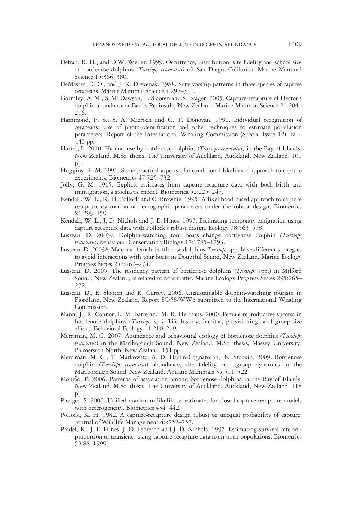- Defran, R. H., and D.W. Weller. 1999. Occurrence, distribution, site fidelity and school size of bottlenose dolphins (Tursiops truncatus) off San Diego, California. Marine Mammal Science 15:366–380.
- DeMaster, D. O., and J. K. Drevenak. 1988. Survivorship patterns in three species of captive cetaceans. Marine Mammal Science 4:297–311.
- Gormley, A. M., S. M. Dawson, E. Slooten and S. Bräger. 2005. Capture-recapture of Hector's dolphin abundance at Banks Peninsula, New Zealand. Marine Mammal Science 21:204– 216.
- Hammond, P. S., S. A. Mizroch and G. P. Donovan. 1990. Individual recognition of cetaceans: Use of photo-identification and other techniques to estimate population parameters. Report of the International Whaling Commission (Special Issue 12). iv + 440 pp.
- Hartel, L. 2010. Habitat use by bottlenose dolphins (*Tursiops truncatus*) in the Bay of Islands, New Zealand. M.Sc. thesis, The University of Auckland, Auckland, New Zealand. 101 pp.
- Huggins, R. M. 1991. Some practical aspects of a conditional likelihood approach to capture experiments. Biometrics 47:725–732.
- Jolly, G. M. 1965. Explicit estimates from capture-recapture data with both birth and immigration, a stochastic model. Biometrica 52:225–247.
- Kendall, W. L., K. H. Pollock and C. Brownie. 1995. A likelihood based approach to capture recapture estimation of demographic parameters under the robust design. Biometrics 81:293–459.
- Kendall, W. L., J. D. Nichols and J. E. Hines. 1997. Estimating temporary emigration using capture recapture data with Pollock's robust design. Ecology 78:563–578.
- Lusseau, D. 2003a. Dolphin-watching tour boats change bottlenose dolphin (Tursiops truncatus) behaviour. Conservation Biology 17:1785–1793.
- Lusseau, D. 2003b. Male and female bottlenose dolphins Tursiops spp. have different strategies to avoid interactions with tour boats in Doubtful Sound, New Zealand. Marine Ecology Progress Series 257:267–274.
- Lusseau, D. 2005. The residency pattern of bottlenose dolphins (Tursiops spp.) in Milford Sound, New Zealand, is related to boat traffic. Marine Ecology Progress Series 295:265– 272.
- Lusseau, D., E. Slooten and R. Currey. 2006. Unsustainable dolphin-watching tourism in Fiordland, New Zealand. Report SC/58/WW6 submitted to the International Whaling Commission.
- Mann, J., R. Connor, L. M. Barre and M. R. Heithaus. 2000. Female reproductive success in bottlenose dolphins (Tursiops sp.): Life history, habitat, provisioning, and group-size effects. Behavioral Ecology 11:210–219.
- Merriman, M. G. 2007. Abundance and behavioural ecology of bottlenose dolphins (Tursiops truncatus) in the Marlborough Sound, New Zealand. M.Sc. thesis, Massey University, Palmerston North, New Zealand. 151 pp.
- Merriman, M. G., T. Markowitz, A. D. Harlin-Cognato and K. Stockin. 2009. Bottlenose dolphin (Tursiops truncatus) abundance, site fidelity, and group dynamics in the Marlborough Sound, New Zealand. Aquatic Mammals 35:511–522.
- Mourão, F. 2006. Patterns of association among bottlenose dolphins in the Bay of Islands, New Zealand. M.Sc. thesis, The University of Auckland, Auckland, New Zealand. 118 pp.
- Pledger, S. 2000. Unified maximum likelihood estimates for closed capture-recapture models with heterogeneity. Biometrics 434–442.
- Pollock, K. H. 1982. A capture-recapture design robust to unequal probability of capture. Journal of Wildlife Management 46:752–757.
- Pradel, R., J. E. Hines, J. D. Lebreton and J. D. Nichols. 1997. Estimating survival rate and proportion of transients using capture-recapture data from open populations. Biometrics 53:88–1999.